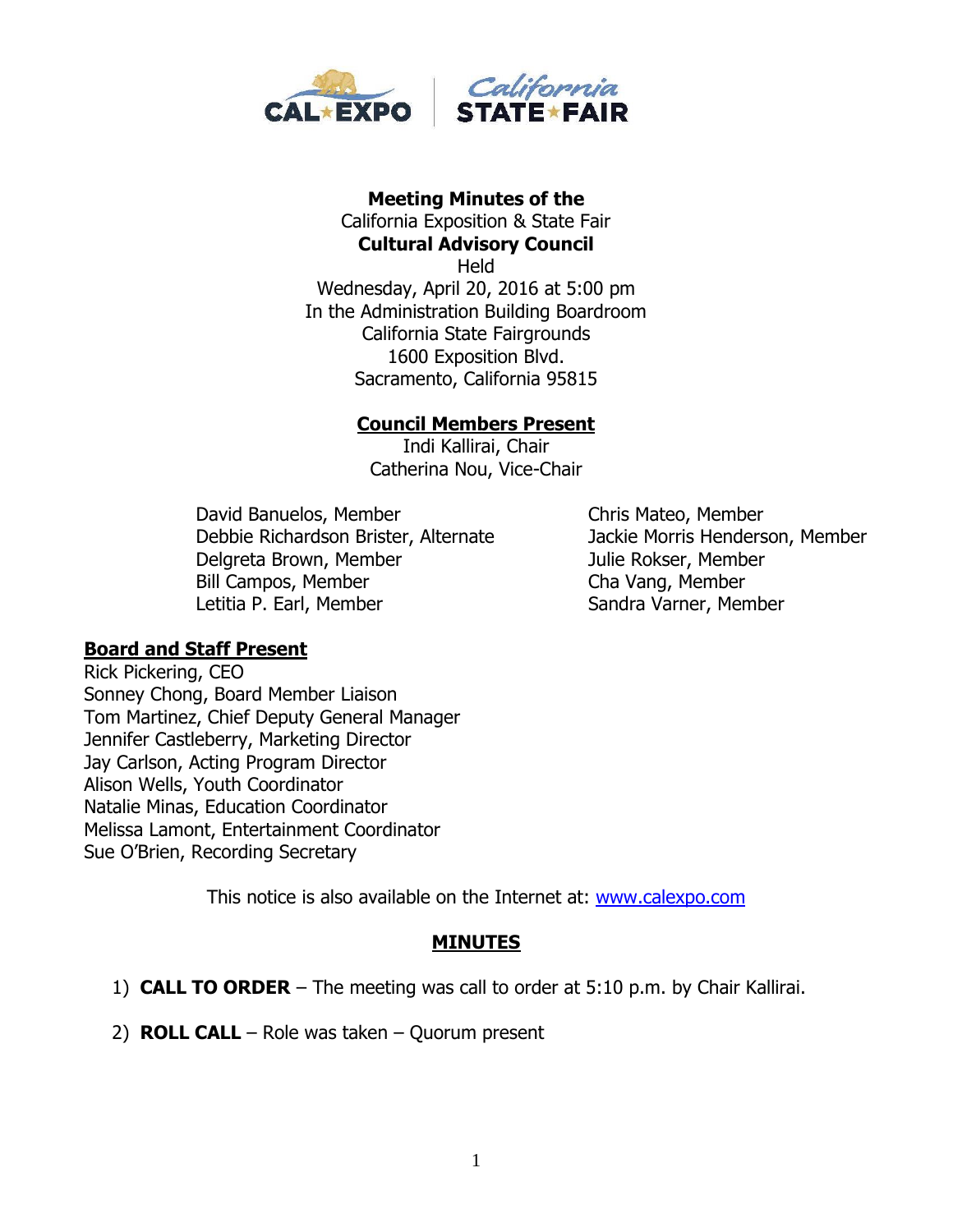

# **Meeting Minutes of the**  California Exposition & State Fair

**Cultural Advisory Council** Held Wednesday, April 20, 2016 at 5:00 pm In the Administration Building Boardroom California State Fairgrounds 1600 Exposition Blvd. Sacramento, California 95815

### **Council Members Present**

Indi Kallirai, Chair Catherina Nou, Vice-Chair

David Banuelos, Member Chris Mateo, Member Debbie Richardson Brister, Alternate Jackie Morris Henderson, Member Delgreta Brown, Member Julie Rokser, Member Bill Campos, Member Cha Vang, Member Letitia P. Earl, Member Sandra Varner, Member

## **Board and Staff Present**

Rick Pickering, CEO Sonney Chong, Board Member Liaison Tom Martinez, Chief Deputy General Manager Jennifer Castleberry, Marketing Director Jay Carlson, Acting Program Director Alison Wells, Youth Coordinator Natalie Minas, Education Coordinator Melissa Lamont, Entertainment Coordinator Sue O'Brien, Recording Secretary

This notice is also available on the Internet at: [www.calexpo.com](http://www.calexpo.com/)

### **MINUTES**

- 1) **CALL TO ORDER** The meeting was call to order at 5:10 p.m. by Chair Kallirai.
- 2) **ROLL CALL**  Role was taken Quorum present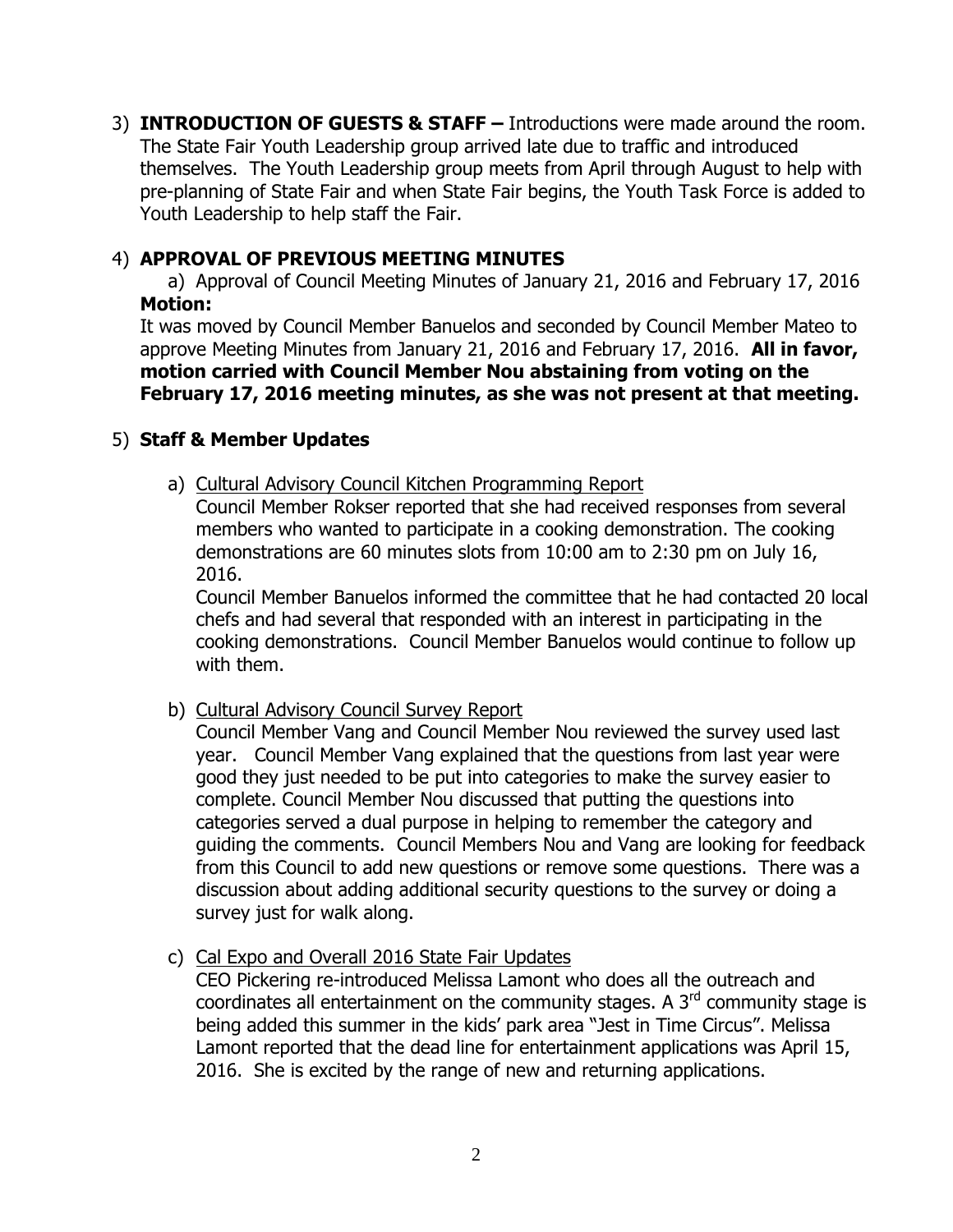3) **INTRODUCTION OF GUESTS & STAFF –** Introductions were made around the room. The State Fair Youth Leadership group arrived late due to traffic and introduced themselves. The Youth Leadership group meets from April through August to help with pre-planning of State Fair and when State Fair begins, the Youth Task Force is added to Youth Leadership to help staff the Fair.

### 4) **APPROVAL OF PREVIOUS MEETING MINUTES**

a) Approval of Council Meeting Minutes of January 21, 2016 and February 17, 2016 **Motion:**

It was moved by Council Member Banuelos and seconded by Council Member Mateo to approve Meeting Minutes from January 21, 2016 and February 17, 2016. **All in favor, motion carried with Council Member Nou abstaining from voting on the February 17, 2016 meeting minutes, as she was not present at that meeting.**

### 5) **Staff & Member Updates**

a) Cultural Advisory Council Kitchen Programming Report Council Member Rokser reported that she had received responses from several members who wanted to participate in a cooking demonstration. The cooking demonstrations are 60 minutes slots from 10:00 am to 2:30 pm on July 16,

2016.

Council Member Banuelos informed the committee that he had contacted 20 local chefs and had several that responded with an interest in participating in the cooking demonstrations. Council Member Banuelos would continue to follow up with them.

b) Cultural Advisory Council Survey Report

Council Member Vang and Council Member Nou reviewed the survey used last year. Council Member Vang explained that the questions from last year were good they just needed to be put into categories to make the survey easier to complete. Council Member Nou discussed that putting the questions into categories served a dual purpose in helping to remember the category and guiding the comments. Council Members Nou and Vang are looking for feedback from this Council to add new questions or remove some questions. There was a discussion about adding additional security questions to the survey or doing a survey just for walk along.

### c) Cal Expo and Overall 2016 State Fair Updates

CEO Pickering re-introduced Melissa Lamont who does all the outreach and coordinates all entertainment on the community stages. A  $3<sup>rd</sup>$  community stage is being added this summer in the kids' park area "Jest in Time Circus". Melissa Lamont reported that the dead line for entertainment applications was April 15, 2016. She is excited by the range of new and returning applications.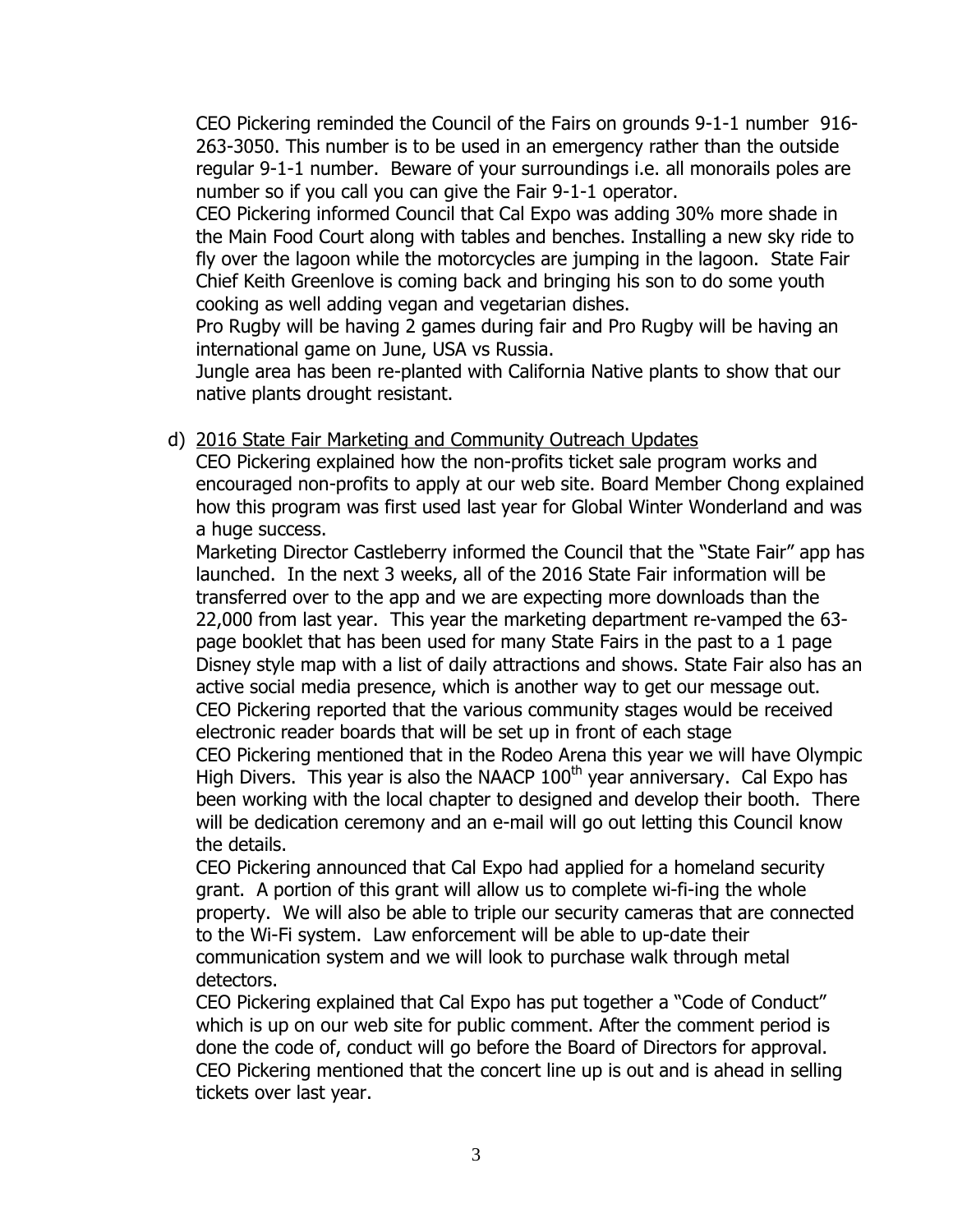CEO Pickering reminded the Council of the Fairs on grounds 9-1-1 number 916- 263-3050. This number is to be used in an emergency rather than the outside regular 9-1-1 number. Beware of your surroundings i.e. all monorails poles are number so if you call you can give the Fair 9-1-1 operator.

CEO Pickering informed Council that Cal Expo was adding 30% more shade in the Main Food Court along with tables and benches. Installing a new sky ride to fly over the lagoon while the motorcycles are jumping in the lagoon. State Fair Chief Keith Greenlove is coming back and bringing his son to do some youth cooking as well adding vegan and vegetarian dishes.

Pro Rugby will be having 2 games during fair and Pro Rugby will be having an international game on June, USA vs Russia.

Jungle area has been re-planted with California Native plants to show that our native plants drought resistant.

### d) 2016 State Fair Marketing and Community Outreach Updates

CEO Pickering explained how the non-profits ticket sale program works and encouraged non-profits to apply at our web site. Board Member Chong explained how this program was first used last year for Global Winter Wonderland and was a huge success.

Marketing Director Castleberry informed the Council that the "State Fair" app has launched. In the next 3 weeks, all of the 2016 State Fair information will be transferred over to the app and we are expecting more downloads than the 22,000 from last year. This year the marketing department re-vamped the 63 page booklet that has been used for many State Fairs in the past to a 1 page Disney style map with a list of daily attractions and shows. State Fair also has an active social media presence, which is another way to get our message out. CEO Pickering reported that the various community stages would be received electronic reader boards that will be set up in front of each stage

CEO Pickering mentioned that in the Rodeo Arena this year we will have Olympic High Divers. This year is also the NAACP  $100<sup>th</sup>$  year anniversary. Cal Expo has been working with the local chapter to designed and develop their booth. There will be dedication ceremony and an e-mail will go out letting this Council know the details.

CEO Pickering announced that Cal Expo had applied for a homeland security grant. A portion of this grant will allow us to complete wi-fi-ing the whole property. We will also be able to triple our security cameras that are connected to the Wi-Fi system. Law enforcement will be able to up-date their communication system and we will look to purchase walk through metal detectors.

CEO Pickering explained that Cal Expo has put together a "Code of Conduct" which is up on our web site for public comment. After the comment period is done the code of, conduct will go before the Board of Directors for approval. CEO Pickering mentioned that the concert line up is out and is ahead in selling tickets over last year.